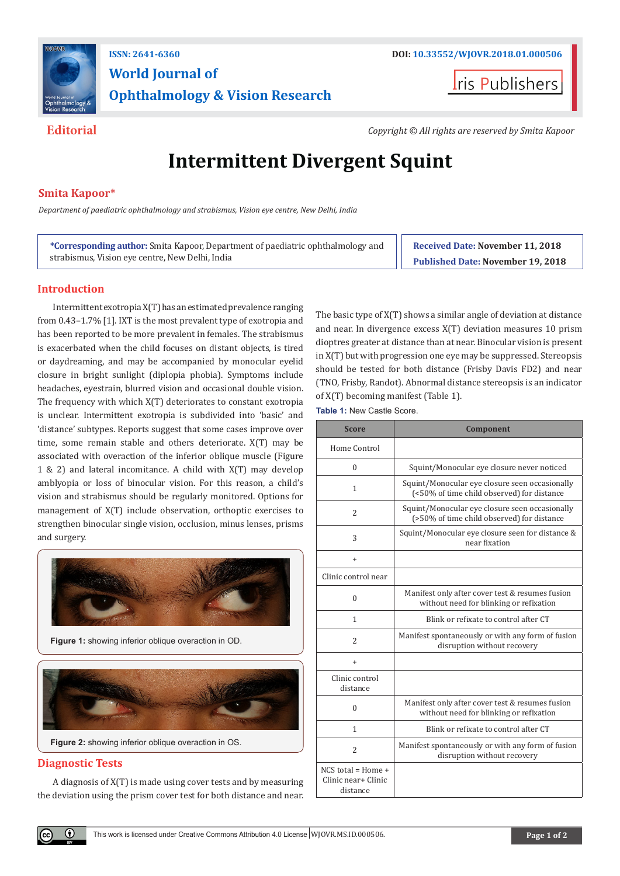

## **ISSN: 2641-6360 DOI: [10.33552/WJOVR.2018.01.000506](http://dx.doi.org/10.33552/WJOVR.2018.01.000506) World Journal of Ophthalmology & Vision Research**

**I**ris Publishers

**Editorial** *Copyright © All rights are reserved by Smita Kapoor*

# **Intermittent Divergent Squint**

### **Smita Kapoor\***

*Department of paediatric ophthalmology and strabismus, Vision eye centre, New Delhi, India*

**\*Corresponding author:** Smita Kapoor, Department of paediatric ophthalmology and strabismus, Vision eye centre, New Delhi, India

**Received Date: November 11, 2018 Published Date: November 19, 2018**

#### **Introduction**

Intermittent exotropia X(T) has an estimated prevalence ranging from 0.43–1.7% [1]. IXT is the most prevalent type of exotropia and has been reported to be more prevalent in females. The strabismus is exacerbated when the child focuses on distant objects, is tired or daydreaming, and may be accompanied by monocular eyelid closure in bright sunlight (diplopia phobia). Symptoms include headaches, eyestrain, blurred vision and occasional double vision. The frequency with which X(T) deteriorates to constant exotropia is unclear. Intermittent exotropia is subdivided into 'basic' and 'distance' subtypes. Reports suggest that some cases improve over time, some remain stable and others deteriorate. X(T) may be associated with overaction of the inferior oblique muscle (Figure 1 & 2) and lateral incomitance. A child with X(T) may develop amblyopia or loss of binocular vision. For this reason, a child's vision and strabismus should be regularly monitored. Options for management of X(T) include observation, orthoptic exercises to strengthen binocular single vision, occlusion, minus lenses, prisms and surgery.



#### **Diagnostic Tests**

 $\bf{0}$ 

A diagnosis of X(T) is made using cover tests and by measuring the deviation using the prism cover test for both distance and near. The basic type of X(T) shows a similar angle of deviation at distance and near. In divergence excess X(T) deviation measures 10 prism dioptres greater at distance than at near. Binocular vision is present in X(T) but with progression one eye may be suppressed. Stereopsis should be tested for both distance (Frisby Davis FD2) and near (TNO, Frisby, Randot). Abnormal distance stereopsis is an indicator of X(T) becoming manifest (Table 1).

**Table 1:** New Castle Score.

| <b>Score</b>                                            | Component                                                                                    |
|---------------------------------------------------------|----------------------------------------------------------------------------------------------|
| Home Control                                            |                                                                                              |
| $\theta$                                                | Squint/Monocular eye closure never noticed                                                   |
| $\mathbf{1}$                                            | Squint/Monocular eye closure seen occasionally<br>(<50% of time child observed) for distance |
| 2                                                       | Squint/Monocular eye closure seen occasionally<br>(>50% of time child observed) for distance |
| 3                                                       | Squint/Monocular eye closure seen for distance &<br>near fixation                            |
| $\ddot{}$                                               |                                                                                              |
| Clinic control near                                     |                                                                                              |
| $\theta$                                                | Manifest only after cover test & resumes fusion<br>without need for blinking or refixation   |
| $\mathbf{1}$                                            | Blink or refixate to control after CT                                                        |
| $\overline{2}$                                          | Manifest spontaneously or with any form of fusion<br>disruption without recovery             |
| $\ddot{}$                                               |                                                                                              |
| Clinic control<br>distance                              |                                                                                              |
| $\theta$                                                | Manifest only after cover test & resumes fusion<br>without need for blinking or refixation   |
| $\mathbf{1}$                                            | Blink or refixate to control after CT                                                        |
| $\overline{2}$                                          | Manifest spontaneously or with any form of fusion<br>disruption without recovery             |
| $NCS$ total = Home +<br>Clinic near+ Clinic<br>distance |                                                                                              |